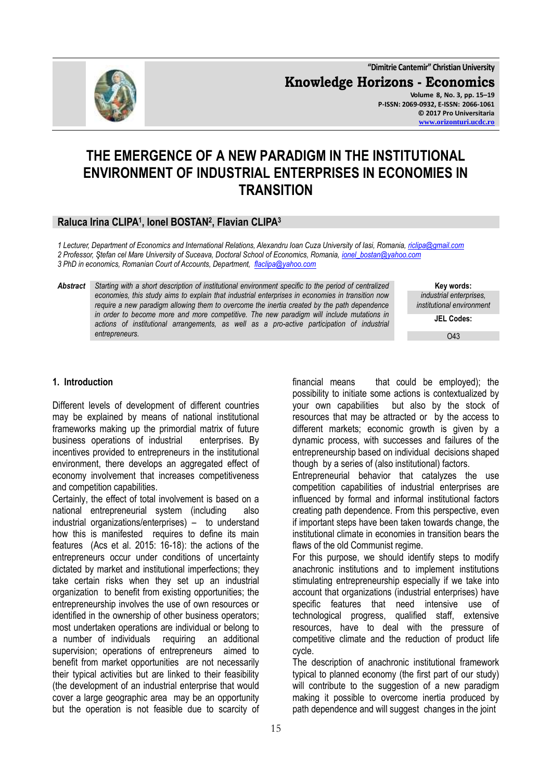**"Dimitrie Cantemir" Christian University Knowledge Horizons - Economics Volume 8, No. 3, pp. 15–19 P-ISSN: 2069-0932, E-ISSN: 2066-1061 © 2017 Pro Universitaria**

# **THE EMERGENCE OF A NEW PARADIGM IN THE INSTITUTIONAL ENVIRONMENT OF INDUSTRIAL ENTERPRISES IN ECONOMIES IN TRANSITION**

## **Raluca Irina CLIPA<sup>1</sup> , Ionel BOSTAN<sup>2</sup> , Flavian CLIPA<sup>3</sup>**

*1 Lecturer, Department of Economics and International Relations, Alexandru Ioan Cuza University of Iasi, Romania[, riclipa@gmail.com](mailto:riclipa@gmail.com) 2 Professor, Ştefan cel Mare University of Suceava, Doctoral School of Economics, Romania, [ionel\\_bostan@yahoo.com](mailto:ionel_bostan@yahoo.com) 3 PhD in economics, Romanian Court of Accounts, Department, [flaclipa@yahoo.com](mailto:flaclipa@yahoo.com)*

*Abstract Starting with a short description of institutional environment specific to the period of centralized economies, this study aims to explain that industrial enterprises in economies in transition now require a new paradigm allowing them to overcome the inertia created by the path dependence in order to become more and more competitive. The new paradigm will include mutations in actions of institutional arrangements, as well as a pro-active participation of industrial entrepreneurs.* 

**Key words:** *industrial enterprises, institutional environment*

**JEL Codes:**

O43

#### **1. Introduction**

Different levels of development of different countries may be explained by means of national institutional frameworks making up the primordial matrix of future business operations of industrial enterprises. By incentives provided to entrepreneurs in the institutional environment, there develops an aggregated effect of economy involvement that increases competitiveness and competition capabilities.

Certainly, the effect of total involvement is based on a national entrepreneurial system (including also industrial organizations/enterprises) – to understand how this is manifested requires to define its main features (Acs et al. 2015: 16-18): the actions of the entrepreneurs occur under conditions of uncertainty dictated by market and institutional imperfections; they take certain risks when they set up an industrial organization to benefit from existing opportunities; the entrepreneurship involves the use of own resources or identified in the ownership of other business operators; most undertaken operations are individual or belong to a number of individuals requiring an additional supervision; operations of entrepreneurs aimed to benefit from market opportunities are not necessarily their typical activities but are linked to their feasibility (the development of an industrial enterprise that would cover a large geographic area may be an opportunity but the operation is not feasible due to scarcity of financial means that could be employed); the possibility to initiate some actions is contextualized by your own capabilities but also by the stock of resources that may be attracted or by the access to different markets; economic growth is given by a dynamic process, with successes and failures of the entrepreneurship based on individual decisions shaped though by a series of (also institutional) factors.

Entrepreneurial behavior that catalyzes the use competition capabilities of industrial enterprises are influenced by formal and informal institutional factors creating path dependence. From this perspective, even if important steps have been taken towards change, the institutional climate in economies in transition bears the flaws of the old Communist regime.

For this purpose, we should identify steps to modify anachronic institutions and to implement institutions stimulating entrepreneurship especially if we take into account that organizations (industrial enterprises) have specific features that need intensive use of technological progress, qualified staff, extensive resources, have to deal with the pressure of competitive climate and the reduction of product life cycle.

The description of anachronic institutional framework typical to planned economy (the first part of our study) will contribute to the suggestion of a new paradigm making it possible to overcome inertia produced by path dependence and will suggest changes in the joint

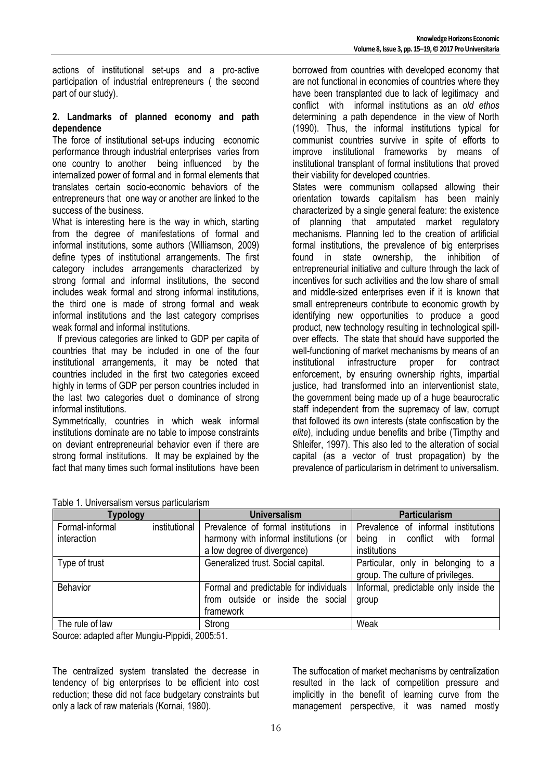actions of institutional set-ups and a pro-active participation of industrial entrepreneurs ( the second part of our study).

### **2. Landmarks of planned economy and path dependence**

The force of institutional set-ups inducing economic performance through industrial enterprises varies from one country to another being influenced by the internalized power of formal and in formal elements that translates certain socio-economic behaviors of the entrepreneurs that one way or another are linked to the success of the business.

What is interesting here is the way in which, starting from the degree of manifestations of formal and informal institutions, some authors (Williamson, 2009) define types of institutional arrangements. The first category includes arrangements characterized by strong formal and informal institutions, the second includes weak formal and strong informal institutions, the third one is made of strong formal and weak informal institutions and the last category comprises weak formal and informal institutions.

 If previous categories are linked to GDP per capita of countries that may be included in one of the four institutional arrangements, it may be noted that countries included in the first two categories exceed highly in terms of GDP per person countries included in the last two categories duet o dominance of strong informal institutions.

Symmetrically, countries in which weak informal institutions dominate are no table to impose constraints on deviant entrepreneurial behavior even if there are strong formal institutions. It may be explained by the fact that many times such formal institutions have been borrowed from countries with developed economy that are not functional in economies of countries where they have been transplanted due to lack of legitimacy and conflict with informal institutions as an *old ethos* determining a path dependence in the view of North (1990). Thus, the informal institutions typical for communist countries survive in spite of efforts to improve institutional frameworks by means of institutional transplant of formal institutions that proved their viability for developed countries.

States were communism collapsed allowing their orientation towards capitalism has been mainly characterized by a single general feature: the existence of planning that amputated market regulatory mechanisms. Planning led to the creation of artificial formal institutions, the prevalence of big enterprises found in state ownership, the inhibition of entrepreneurial initiative and culture through the lack of incentives for such activities and the low share of small and middle-sized enterprises even if it is known that small entrepreneurs contribute to economic growth by identifying new opportunities to produce a good product, new technology resulting in technological spillover effects. The state that should have supported the well-functioning of market mechanisms by means of an institutional infrastructure proper for contract enforcement, by ensuring ownership rights, impartial justice, had transformed into an interventionist state, the government being made up of a huge beaurocratic staff independent from the supremacy of law, corrupt that followed its own interests (state confiscation by the *elite*), including undue benefits and bribe (Timpthy and Shleifer, 1997). This also led to the alteration of social capital (as a vector of trust propagation) by the prevalence of particularism in detriment to universalism.

| Table T. OHIVEISAIISHI VEISUS DAI lICUIAHSHI |               |                                                                                                                  |                                                                                         |  |
|----------------------------------------------|---------------|------------------------------------------------------------------------------------------------------------------|-----------------------------------------------------------------------------------------|--|
| Typology                                     |               | <b>Universalism</b>                                                                                              | <b>Particularism</b>                                                                    |  |
| Formal-informal<br>interaction               | institutional | Prevalence of formal institutions<br>ın<br>harmony with informal institutions (or<br>a low degree of divergence) | Prevalence of informal institutions<br>being in conflict with<br>formal<br>institutions |  |
| Type of trust                                |               | Generalized trust. Social capital.                                                                               | Particular, only in belonging to a<br>group. The culture of privileges.                 |  |
| <b>Behavior</b>                              |               | Formal and predictable for individuals<br>from outside or inside the social<br>framework                         | Informal, predictable only inside the<br>group                                          |  |
| The rule of law                              |               | Strong                                                                                                           | Weak                                                                                    |  |

| Table 1. Universalism versus particularism |  |
|--------------------------------------------|--|
|--------------------------------------------|--|

Source: adapted after Mungiu-Pippidi, 2005:51.

The centralized system translated the decrease in tendency of big enterprises to be efficient into cost reduction; these did not face budgetary constraints but only a lack of raw materials (Kornai, 1980).

The suffocation of market mechanisms by centralization resulted in the lack of competition pressure and implicitly in the benefit of learning curve from the management perspective, it was named mostly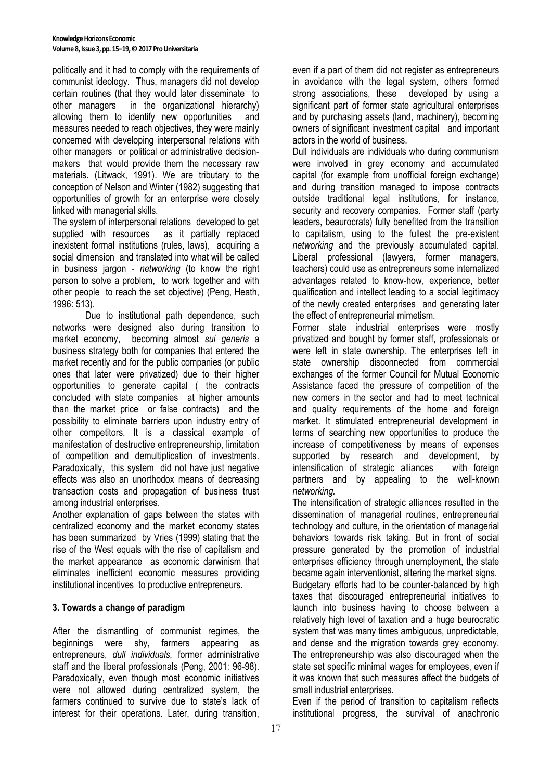politically and it had to comply with the requirements of communist ideology. Thus, managers did not develop certain routines (that they would later disseminate to other managers in the organizational hierarchy) allowing them to identify new opportunities and measures needed to reach objectives, they were mainly concerned with developing interpersonal relations with other managers or political or administrative decisionmakers that would provide them the necessary raw materials. (Litwack, 1991). We are tributary to the conception of Nelson and Winter (1982) suggesting that opportunities of growth for an enterprise were closely linked with managerial skills.

The system of interpersonal relations developed to get supplied with resources as it partially replaced inexistent formal institutions (rules, laws), acquiring a social dimension and translated into what will be called in business jargon - *networking* (to know the right person to solve a problem, to work together and with other people to reach the set objective) (Peng, Heath, 1996: 513).

Due to institutional path dependence, such networks were designed also during transition to market economy, becoming almost *sui generis* a business strategy both for companies that entered the market recently and for the public companies (or public ones that later were privatized) due to their higher opportunities to generate capital ( the contracts concluded with state companies at higher amounts than the market price or false contracts) and the possibility to eliminate barriers upon industry entry of other competitors. It is a classical example of manifestation of destructive entrepreneurship, limitation of competition and demultiplication of investments. Paradoxically, this system did not have just negative effects was also an unorthodox means of decreasing transaction costs and propagation of business trust among industrial enterprises.

Another explanation of gaps between the states with centralized economy and the market economy states has been summarized by Vries (1999) stating that the rise of the West equals with the rise of capitalism and the market appearance as economic darwinism that eliminates inefficient economic measures providing institutional incentives to productive entrepreneurs.

### **3. Towards a change of paradigm**

After the dismantling of communist regimes, the beginnings were shy, farmers appearing as entrepreneurs, *dull individuals,* former administrative staff and the liberal professionals (Peng, 2001: 96-98). Paradoxically, even though most economic initiatives were not allowed during centralized system, the farmers continued to survive due to state's lack of interest for their operations. Later, during transition,

even if a part of them did not register as entrepreneurs in avoidance with the legal system, others formed strong associations, these developed by using a significant part of former state agricultural enterprises and by purchasing assets (land, machinery), becoming owners of significant investment capital and important actors in the world of business.

Dull individuals are individuals who during communism were involved in grey economy and accumulated capital (for example from unofficial foreign exchange) and during transition managed to impose contracts outside traditional legal institutions, for instance, security and recovery companies. Former staff (party leaders, beaurocrats) fully benefited from the transition to capitalism, using to the fullest the pre-existent *networking* and the previously accumulated capital. Liberal professional (lawyers, former managers, teachers) could use as entrepreneurs some internalized advantages related to know-how, experience, better qualification and intellect leading to a social legitimacy of the newly created enterprises and generating later the effect of entrepreneurial mimetism.

Former state industrial enterprises were mostly privatized and bought by former staff, professionals or were left in state ownership. The enterprises left in state ownership disconnected from commercial exchanges of the former Council for Mutual Economic Assistance faced the pressure of competition of the new comers in the sector and had to meet technical and quality requirements of the home and foreign market. It stimulated entrepreneurial development in terms of searching new opportunities to produce the increase of competitiveness by means of expenses supported by research and development, by intensification of strategic alliances with foreign partners and by appealing to the well-known *networking.*

The intensification of strategic alliances resulted in the dissemination of managerial routines, entrepreneurial technology and culture, in the orientation of managerial behaviors towards risk taking. But in front of social pressure generated by the promotion of industrial enterprises efficiency through unemployment, the state became again interventionist, altering the market signs. Budgetary efforts had to be counter-balanced by high taxes that discouraged entrepreneurial initiatives to launch into business having to choose between a relatively high level of taxation and a huge beurocratic system that was many times ambiguous, unpredictable, and dense and the migration towards grey economy. The entrepreneurship was also discouraged when the state set specific minimal wages for employees, even if it was known that such measures affect the budgets of small industrial enterprises.

Even if the period of transition to capitalism reflects institutional progress, the survival of anachronic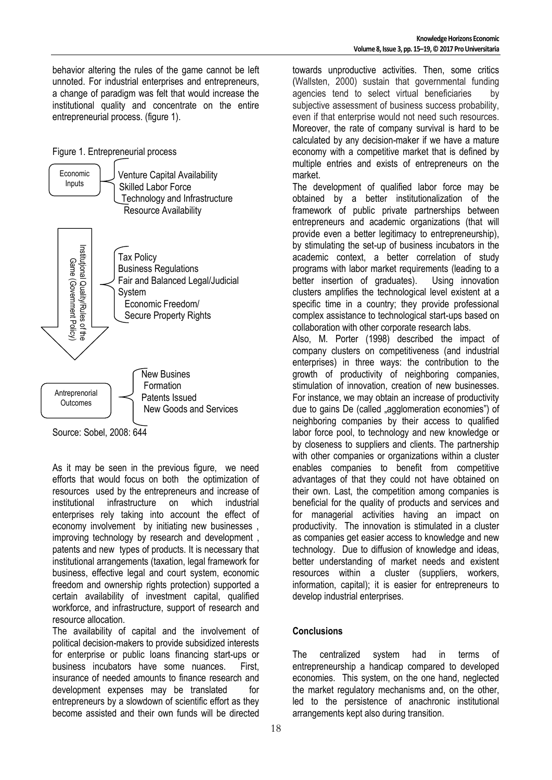behavior altering the rules of the game cannot be left unnoted. For industrial enterprises and entrepreneurs, a change of paradigm was felt that would increase the institutional quality and concentrate on the entire entrepreneurial process. (figure 1).





Source: Sobel, 2008: 644

As it may be seen in the previous figure, we need efforts that would focus on both the optimization of resources used by the entrepreneurs and increase of institutional infrastructure on which industrial enterprises rely taking into account the effect of economy involvement by initiating new businesses , improving technology by research and development , patents and new types of products. It is necessary that institutional arrangements (taxation, legal framework for business, effective legal and court system, economic freedom and ownership rights protection) supported a certain availability of investment capital, qualified workforce, and infrastructure, support of research and resource allocation.

The availability of capital and the involvement of political decision-makers to provide subsidized interests for enterprise or public loans financing start-ups or business incubators have some nuances. First, insurance of needed amounts to finance research and development expenses may be translated for entrepreneurs by a slowdown of scientific effort as they become assisted and their own funds will be directed

towards unproductive activities. Then, some critics (Wallsten, 2000) sustain that governmental funding agencies tend to select virtual beneficiaries by subjective assessment of business success probability, even if that enterprise would not need such resources. Moreover, the rate of company survival is hard to be calculated by any decision-maker if we have a mature economy with a competitive market that is defined by multiple entries and exists of entrepreneurs on the market.

The development of qualified labor force may be obtained by a better institutionalization of the framework of public private partnerships between entrepreneurs and academic organizations (that will provide even a better legitimacy to entrepreneurship), by stimulating the set-up of business incubators in the academic context, a better correlation of study programs with labor market requirements (leading to a better insertion of graduates). Using innovation clusters amplifies the technological level existent at a specific time in a country; they provide professional complex assistance to technological start-ups based on collaboration with other corporate research labs.

Also, M. Porter (1998) described the impact of company clusters on competitiveness (and industrial enterprises) in three ways: the contribution to the growth of productivity of neighboring companies, stimulation of innovation, creation of new businesses. For instance, we may obtain an increase of productivity due to gains De (called "agglomeration economies") of neighboring companies by their access to qualified labor force pool, to technology and new knowledge or by closeness to suppliers and clients. The partnership with other companies or organizations within a cluster enables companies to benefit from competitive advantages of that they could not have obtained on their own. Last, the competition among companies is beneficial for the quality of products and services and for managerial activities having an impact on productivity. The innovation is stimulated in a cluster as companies get easier access to knowledge and new technology. Due to diffusion of knowledge and ideas, better understanding of market needs and existent resources within a cluster (suppliers, workers, information, capital); it is easier for entrepreneurs to develop industrial enterprises.

### **Conclusions**

The centralized system had in terms of entrepreneurship a handicap compared to developed economies. This system, on the one hand, neglected the market regulatory mechanisms and, on the other, led to the persistence of anachronic institutional arrangements kept also during transition.